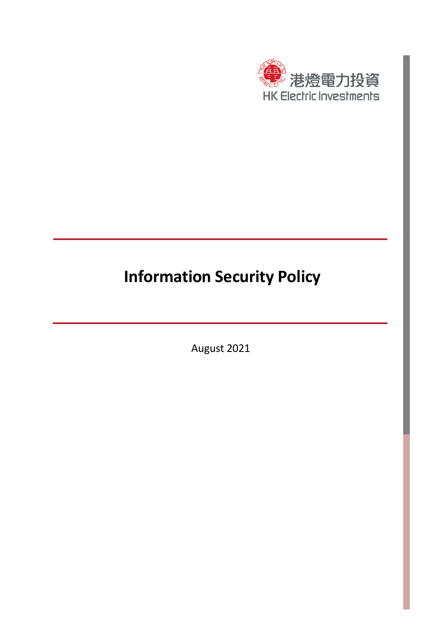

# **Information Security Policy**

August 2021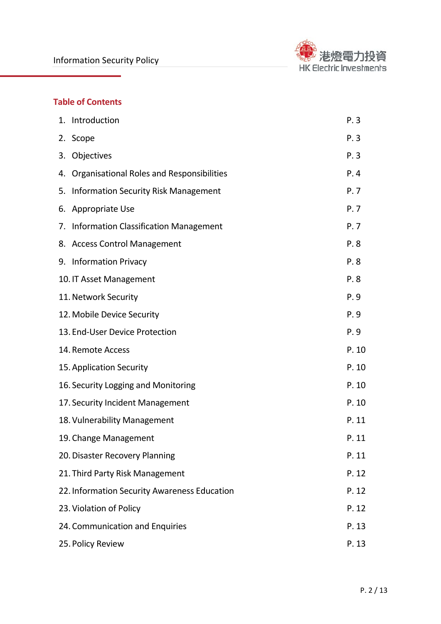

## **Table of Contents**

|                            | 1. Introduction                              | P.3   |
|----------------------------|----------------------------------------------|-------|
|                            | 2. Scope                                     | P.3   |
| 3.                         | Objectives                                   | P.3   |
|                            | 4. Organisational Roles and Responsibilities | P.4   |
| 5.                         | <b>Information Security Risk Management</b>  | P. 7  |
| 6.                         | Appropriate Use                              | P. 7  |
| 7.                         | <b>Information Classification Management</b> | P. 7  |
|                            | 8. Access Control Management                 | P.8   |
|                            | 9. Information Privacy                       | P.8   |
| 10. IT Asset Management    |                                              | P.8   |
|                            | 11. Network Security                         | P.9   |
| 12. Mobile Device Security |                                              | P.9   |
|                            | 13. End-User Device Protection               | P.9   |
| 14. Remote Access          |                                              | P. 10 |
|                            | 15. Application Security                     | P. 10 |
|                            | 16. Security Logging and Monitoring          | P. 10 |
|                            | 17. Security Incident Management             | P. 10 |
|                            | 18. Vulnerability Management                 | P. 11 |
|                            | 19. Change Management                        | P. 11 |
|                            | 20. Disaster Recovery Planning               | P. 11 |
|                            | 21. Third Party Risk Management              | P. 12 |
|                            | 22. Information Security Awareness Education | P. 12 |
|                            | 23. Violation of Policy                      | P. 12 |
|                            | 24. Communication and Enquiries              | P. 13 |
|                            | 25. Policy Review                            | P. 13 |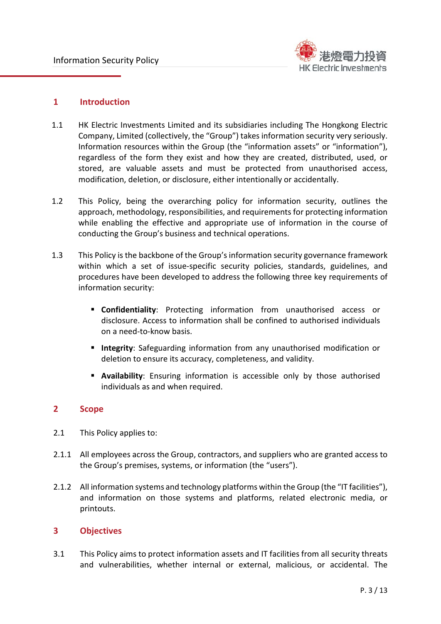

## **1 Introduction**

- 1.1 HK Electric Investments Limited and its subsidiaries including The Hongkong Electric Company, Limited (collectively, the "Group") takes information security very seriously. Information resources within the Group (the "information assets" or "information"), regardless of the form they exist and how they are created, distributed, used, or stored, are valuable assets and must be protected from unauthorised access, modification, deletion, or disclosure, either intentionally or accidentally.
- 1.2 This Policy, being the overarching policy for information security, outlines the approach, methodology, responsibilities, and requirements for protecting information while enabling the effective and appropriate use of information in the course of conducting the Group's business and technical operations.
- 1.3 This Policy is the backbone of the Group's information security governance framework within which a set of issue-specific security policies, standards, guidelines, and procedures have been developed to address the following three key requirements of information security:
	- **Confidentiality**: Protecting information from unauthorised access or disclosure. Access to information shall be confined to authorised individuals on a need-to-know basis.
	- **Integrity**: Safeguarding information from any unauthorised modification or deletion to ensure its accuracy, completeness, and validity.
	- **Availability**: Ensuring information is accessible only by those authorised individuals as and when required.

## **2 Scope**

- 2.1 This Policy applies to:
- 2.1.1 All employees across the Group, contractors, and suppliers who are granted access to the Group's premises, systems, or information (the "users").
- 2.1.2 All information systems and technology platforms within the Group (the "IT facilities"), and information on those systems and platforms, related electronic media, or printouts.

#### **3 Objectives**

3.1 This Policy aims to protect information assets and IT facilities from all security threats and vulnerabilities, whether internal or external, malicious, or accidental. The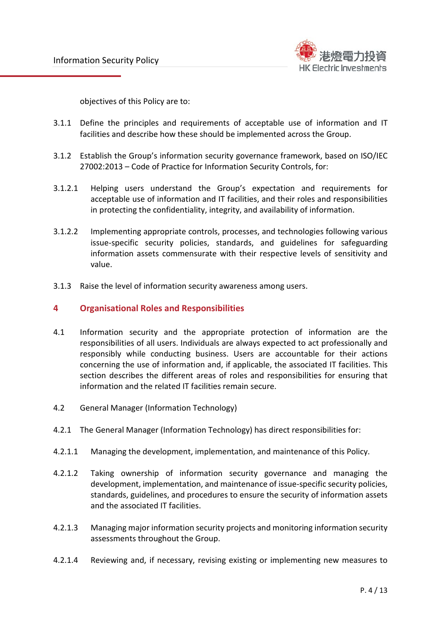

objectives of this Policy are to:

- 3.1.1 Define the principles and requirements of acceptable use of information and IT facilities and describe how these should be implemented across the Group.
- 3.1.2 Establish the Group's information security governance framework, based on ISO/IEC 27002:2013 – Code of Practice for Information Security Controls, for:
- 3.1.2.1 Helping users understand the Group's expectation and requirements for acceptable use of information and IT facilities, and their roles and responsibilities in protecting the confidentiality, integrity, and availability of information.
- 3.1.2.2 Implementing appropriate controls, processes, and technologies following various issue-specific security policies, standards, and guidelines for safeguarding information assets commensurate with their respective levels of sensitivity and value.
- 3.1.3 Raise the level of information security awareness among users.

#### **4 Organisational Roles and Responsibilities**

- 4.1 Information security and the appropriate protection of information are the responsibilities of all users. Individuals are always expected to act professionally and responsibly while conducting business. Users are accountable for their actions concerning the use of information and, if applicable, the associated IT facilities. This section describes the different areas of roles and responsibilities for ensuring that information and the related IT facilities remain secure.
- 4.2 General Manager (Information Technology)
- 4.2.1 The General Manager (Information Technology) has direct responsibilities for:
- 4.2.1.1 Managing the development, implementation, and maintenance of this Policy.
- 4.2.1.2 Taking ownership of information security governance and managing the development, implementation, and maintenance of issue-specific security policies, standards, guidelines, and procedures to ensure the security of information assets and the associated IT facilities.
- 4.2.1.3 Managing major information security projects and monitoring information security assessments throughout the Group.
- 4.2.1.4 Reviewing and, if necessary, revising existing or implementing new measures to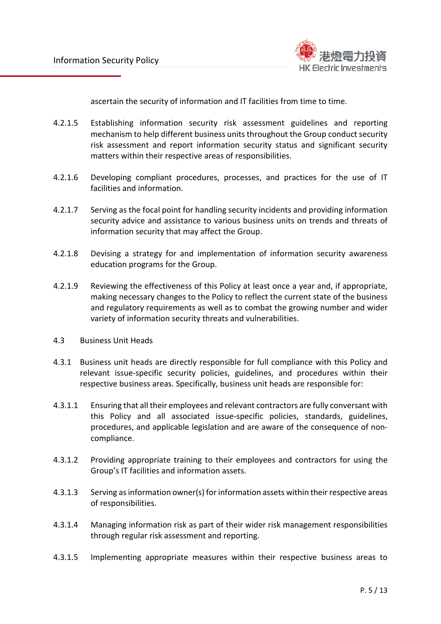

ascertain the security of information and IT facilities from time to time.

- 4.2.1.5 Establishing information security risk assessment guidelines and reporting mechanism to help different business units throughout the Group conduct security risk assessment and report information security status and significant security matters within their respective areas of responsibilities.
- 4.2.1.6 Developing compliant procedures, processes, and practices for the use of IT facilities and information.
- 4.2.1.7 Serving as the focal point for handling security incidents and providing information security advice and assistance to various business units on trends and threats of information security that may affect the Group.
- 4.2.1.8 Devising a strategy for and implementation of information security awareness education programs for the Group.
- 4.2.1.9 Reviewing the effectiveness of this Policy at least once a year and, if appropriate, making necessary changes to the Policy to reflect the current state of the business and regulatory requirements as well as to combat the growing number and wider variety of information security threats and vulnerabilities.
- 4.3 Business Unit Heads
- 4.3.1 Business unit heads are directly responsible for full compliance with this Policy and relevant issue-specific security policies, guidelines, and procedures within their respective business areas. Specifically, business unit heads are responsible for:
- 4.3.1.1 Ensuring that all their employees and relevant contractors are fully conversant with this Policy and all associated issue-specific policies, standards, guidelines, procedures, and applicable legislation and are aware of the consequence of noncompliance.
- 4.3.1.2 Providing appropriate training to their employees and contractors for using the Group's IT facilities and information assets.
- 4.3.1.3 Serving as information owner(s) for information assets within their respective areas of responsibilities.
- 4.3.1.4 Managing information risk as part of their wider risk management responsibilities through regular risk assessment and reporting.
- 4.3.1.5 Implementing appropriate measures within their respective business areas to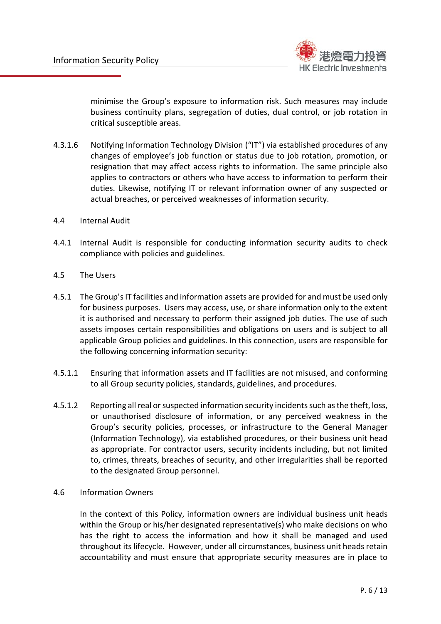

minimise the Group's exposure to information risk. Such measures may include business continuity plans, segregation of duties, dual control, or job rotation in critical susceptible areas.

- 4.3.1.6 Notifying Information Technology Division ("IT") via established procedures of any changes of employee's job function or status due to job rotation, promotion, or resignation that may affect access rights to information. The same principle also applies to contractors or others who have access to information to perform their duties. Likewise, notifying IT or relevant information owner of any suspected or actual breaches, or perceived weaknesses of information security.
- 4.4 Internal Audit
- 4.4.1 Internal Audit is responsible for conducting information security audits to check compliance with policies and guidelines.
- 4.5 The Users
- 4.5.1 The Group'sIT facilities and information assets are provided for and must be used only for business purposes. Users may access, use, or share information only to the extent it is authorised and necessary to perform their assigned job duties. The use of such assets imposes certain responsibilities and obligations on users and is subject to all applicable Group policies and guidelines. In this connection, users are responsible for the following concerning information security:
- 4.5.1.1 Ensuring that information assets and IT facilities are not misused, and conforming to all Group security policies, standards, guidelines, and procedures.
- 4.5.1.2 Reporting all real or suspected information security incidentssuch as the theft, loss, or unauthorised disclosure of information, or any perceived weakness in the Group's security policies, processes, or infrastructure to the General Manager (Information Technology), via established procedures, or their business unit head as appropriate. For contractor users, security incidents including, but not limited to, crimes, threats, breaches of security, and other irregularities shall be reported to the designated Group personnel.
- 4.6 Information Owners

In the context of this Policy, information owners are individual business unit heads within the Group or his/her designated representative(s) who make decisions on who has the right to access the information and how it shall be managed and used throughout its lifecycle. However, under all circumstances, business unit heads retain accountability and must ensure that appropriate security measures are in place to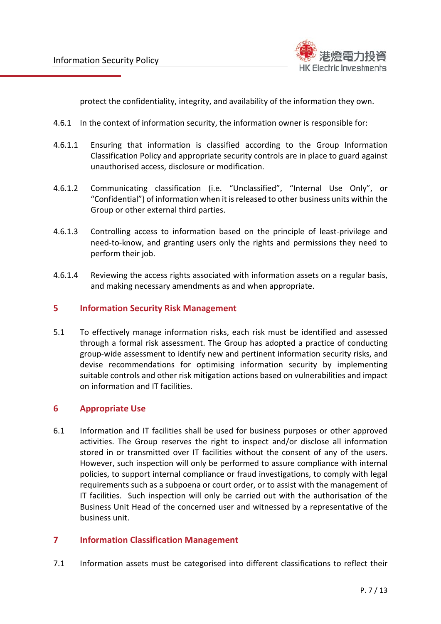

protect the confidentiality, integrity, and availability of the information they own.

- 4.6.1 In the context of information security, the information owner is responsible for:
- 4.6.1.1 Ensuring that information is classified according to the Group Information Classification Policy and appropriate security controls are in place to guard against unauthorised access, disclosure or modification.
- 4.6.1.2 Communicating classification (i.e. "Unclassified", "Internal Use Only", or "Confidential") of information when it is released to other business units within the Group or other external third parties.
- 4.6.1.3 Controlling access to information based on the principle of least-privilege and need-to-know, and granting users only the rights and permissions they need to perform their job.
- 4.6.1.4 Reviewing the access rights associated with information assets on a regular basis, and making necessary amendments as and when appropriate.

#### **5 Information Security Risk Management**

5.1 To effectively manage information risks, each risk must be identified and assessed through a formal risk assessment. The Group has adopted a practice of conducting group-wide assessment to identify new and pertinent information security risks, and devise recommendations for optimising information security by implementing suitable controls and other risk mitigation actions based on vulnerabilities and impact on information and IT facilities.

#### **6 Appropriate Use**

6.1 Information and IT facilities shall be used for business purposes or other approved activities. The Group reserves the right to inspect and/or disclose all information stored in or transmitted over IT facilities without the consent of any of the users. However, such inspection will only be performed to assure compliance with internal policies, to support internal compliance or fraud investigations, to comply with legal requirements such as a subpoena or court order, or to assist with the management of IT facilities. Such inspection will only be carried out with the authorisation of the Business Unit Head of the concerned user and witnessed by a representative of the business unit.

## **7 Information Classification Management**

7.1 Information assets must be categorised into different classifications to reflect their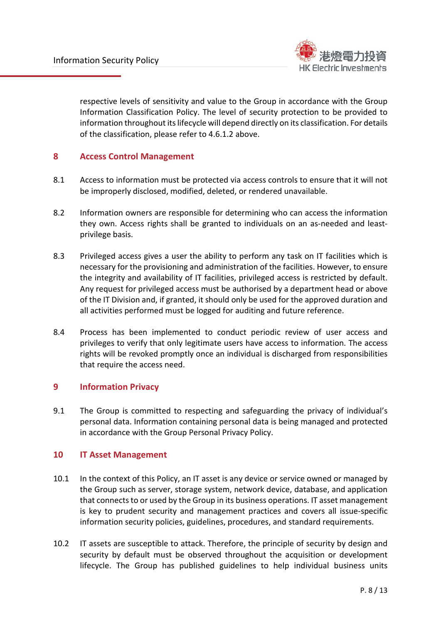

respective levels of sensitivity and value to the Group in accordance with the Group Information Classification Policy. The level of security protection to be provided to information throughout its lifecycle will depend directly on its classification. For details of the classification, please refer to 4.6.1.2 above.

## **8 Access Control Management**

- 8.1 Access to information must be protected via access controls to ensure that it will not be improperly disclosed, modified, deleted, or rendered unavailable.
- 8.2 Information owners are responsible for determining who can access the information they own. Access rights shall be granted to individuals on an as-needed and leastprivilege basis.
- 8.3 Privileged access gives a user the ability to perform any task on IT facilities which is necessary for the provisioning and administration of the facilities. However, to ensure the integrity and availability of IT facilities, privileged access is restricted by default. Any request for privileged access must be authorised by a department head or above of the IT Division and, if granted, it should only be used for the approved duration and all activities performed must be logged for auditing and future reference.
- 8.4 Process has been implemented to conduct periodic review of user access and privileges to verify that only legitimate users have access to information. The access rights will be revoked promptly once an individual is discharged from responsibilities that require the access need.

## **9 Information Privacy**

9.1 The Group is committed to respecting and safeguarding the privacy of individual's personal data. Information containing personal data is being managed and protected in accordance with the Group Personal Privacy Policy.

## **10 IT Asset Management**

- 10.1 In the context of this Policy, an IT asset is any device or service owned or managed by the Group such as server, storage system, network device, database, and application that connects to or used by the Group in its business operations. IT asset management is key to prudent security and management practices and covers all issue-specific information security policies, guidelines, procedures, and standard requirements.
- 10.2 IT assets are susceptible to attack. Therefore, the principle of security by design and security by default must be observed throughout the acquisition or development lifecycle. The Group has published guidelines to help individual business units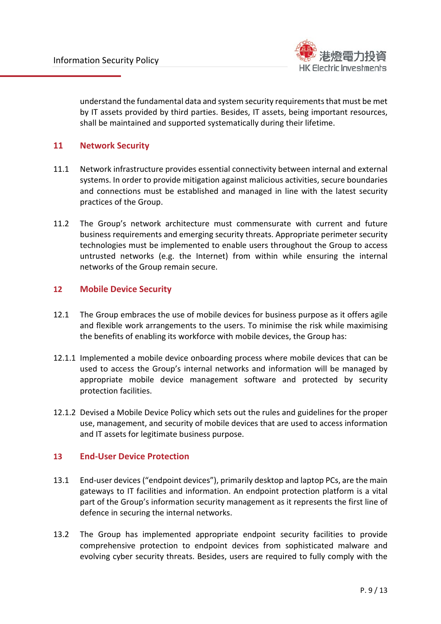

understand the fundamental data and system security requirements that must be met by IT assets provided by third parties. Besides, IT assets, being important resources, shall be maintained and supported systematically during their lifetime.

#### **11 Network Security**

- 11.1 Network infrastructure provides essential connectivity between internal and external systems. In order to provide mitigation against malicious activities, secure boundaries and connections must be established and managed in line with the latest security practices of the Group.
- 11.2 The Group's network architecture must commensurate with current and future business requirements and emerging security threats. Appropriate perimeter security technologies must be implemented to enable users throughout the Group to access untrusted networks (e.g. the Internet) from within while ensuring the internal networks of the Group remain secure.

#### **12 Mobile Device Security**

- 12.1 The Group embraces the use of mobile devices for business purpose as it offers agile and flexible work arrangements to the users. To minimise the risk while maximising the benefits of enabling its workforce with mobile devices, the Group has:
- 12.1.1 Implemented a mobile device onboarding process where mobile devices that can be used to access the Group's internal networks and information will be managed by appropriate mobile device management software and protected by security protection facilities.
- 12.1.2 Devised a Mobile Device Policy which sets out the rules and guidelines for the proper use, management, and security of mobile devices that are used to access information and IT assets for legitimate business purpose.

#### **13 End-User Device Protection**

- 13.1 End-user devices ("endpoint devices"), primarily desktop and laptop PCs, are the main gateways to IT facilities and information. An endpoint protection platform is a vital part of the Group's information security management as it represents the first line of defence in securing the internal networks.
- 13.2 The Group has implemented appropriate endpoint security facilities to provide comprehensive protection to endpoint devices from sophisticated malware and evolving cyber security threats. Besides, users are required to fully comply with the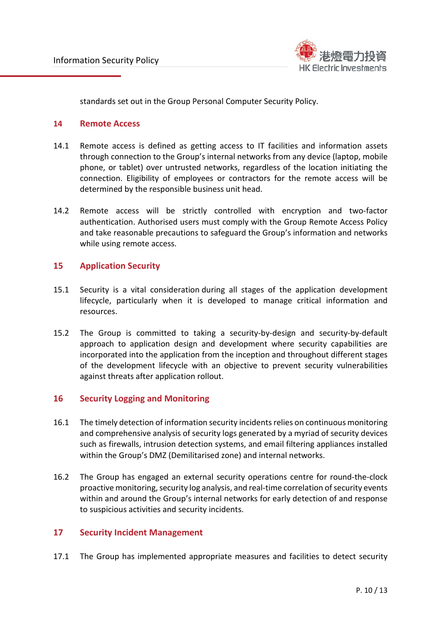

standards set out in the Group Personal Computer Security Policy.

#### **14 Remote Access**

- 14.1 Remote access is defined as getting access to IT facilities and information assets through connection to the Group's internal networks from any device (laptop, mobile phone, or tablet) over untrusted networks, regardless of the location initiating the connection. Eligibility of employees or contractors for the remote access will be determined by the responsible business unit head.
- 14.2 Remote access will be strictly controlled with encryption and two-factor authentication. Authorised users must comply with the Group Remote Access Policy and take reasonable precautions to safeguard the Group's information and networks while using remote access.

#### **15 Application Security**

- 15.1 Security is a vital consideration during all stages of the application development lifecycle, particularly when it is developed to manage critical information and resources.
- 15.2 The Group is committed to taking a security-by-design and security-by-default approach to application design and development where security capabilities are incorporated into the application from the inception and throughout different stages of the development lifecycle with an objective to prevent security vulnerabilities against threats after application rollout.

## **16 Security Logging and Monitoring**

- 16.1 The timely detection of information security incidents relies on continuous monitoring and comprehensive analysis of security logs generated by a myriad of security devices such as firewalls, intrusion detection systems, and email filtering appliances installed within the Group's DMZ (Demilitarised zone) and internal networks.
- 16.2 The Group has engaged an external security operations centre for round-the-clock proactive monitoring, security log analysis, and real-time correlation of security events within and around the Group's internal networks for early detection of and response to suspicious activities and security incidents.

## **17 Security Incident Management**

17.1 The Group has implemented appropriate measures and facilities to detect security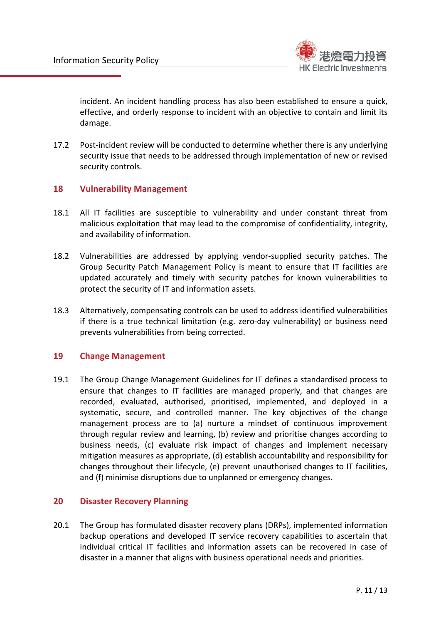

incident. An incident handling process has also been established to ensure a quick, effective, and orderly response to incident with an objective to contain and limit its damage.

17.2 Post-incident review will be conducted to determine whether there is any underlying security issue that needs to be addressed through implementation of new or revised security controls.

#### **18 Vulnerability Management**

- 18.1 All IT facilities are susceptible to vulnerability and under constant threat from malicious exploitation that may lead to the compromise of confidentiality, integrity, and availability of information.
- 18.2 Vulnerabilities are addressed by applying vendor-supplied security patches. The Group Security Patch Management Policy is meant to ensure that IT facilities are updated accurately and timely with security patches for known vulnerabilities to protect the security of IT and information assets.
- 18.3 Alternatively, compensating controls can be used to address identified vulnerabilities if there is a true technical limitation (e.g. zero-day vulnerability) or business need prevents vulnerabilities from being corrected.

#### **19 Change Management**

19.1 The Group Change Management Guidelines for IT defines a standardised process to ensure that changes to IT facilities are managed properly, and that changes are recorded, evaluated, authorised, prioritised, implemented, and deployed in a systematic, secure, and controlled manner. The key objectives of the change management process are to (a) nurture a mindset of continuous improvement through regular review and learning, (b) review and prioritise changes according to business needs, (c) evaluate risk impact of changes and implement necessary mitigation measures as appropriate, (d) establish accountability and responsibility for changes throughout their lifecycle, (e) prevent unauthorised changes to IT facilities, and (f) minimise disruptions due to unplanned or emergency changes.

#### **20 Disaster Recovery Planning**

20.1 The Group has formulated disaster recovery plans (DRPs), implemented information backup operations and developed IT service recovery capabilities to ascertain that individual critical IT facilities and information assets can be recovered in case of disaster in a manner that aligns with business operational needs and priorities.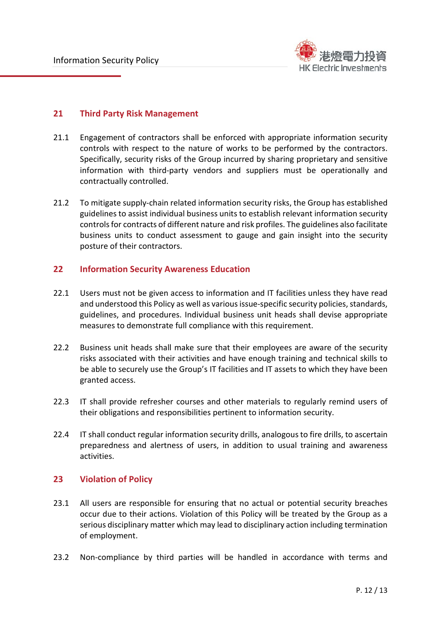

## **21 Third Party Risk Management**

- 21.1 Engagement of contractors shall be enforced with appropriate information security controls with respect to the nature of works to be performed by the contractors. Specifically, security risks of the Group incurred by sharing proprietary and sensitive information with third-party vendors and suppliers must be operationally and contractually controlled.
- 21.2 To mitigate supply-chain related information security risks, the Group has established guidelines to assist individual business units to establish relevant information security controls for contracts of different nature and risk profiles. The guidelines also facilitate business units to conduct assessment to gauge and gain insight into the security posture of their contractors.

#### **22 Information Security Awareness Education**

- 22.1 Users must not be given access to information and IT facilities unless they have read and understood this Policy as well as various issue-specific security policies, standards, guidelines, and procedures. Individual business unit heads shall devise appropriate measures to demonstrate full compliance with this requirement.
- 22.2 Business unit heads shall make sure that their employees are aware of the security risks associated with their activities and have enough training and technical skills to be able to securely use the Group's IT facilities and IT assets to which they have been granted access.
- 22.3 IT shall provide refresher courses and other materials to regularly remind users of their obligations and responsibilities pertinent to information security.
- 22.4 IT shall conduct regular information security drills, analogous to fire drills, to ascertain preparedness and alertness of users, in addition to usual training and awareness activities.

#### **23 Violation of Policy**

- 23.1 All users are responsible for ensuring that no actual or potential security breaches occur due to their actions. Violation of this Policy will be treated by the Group as a serious disciplinary matter which may lead to disciplinary action including termination of employment.
- 23.2 Non-compliance by third parties will be handled in accordance with terms and